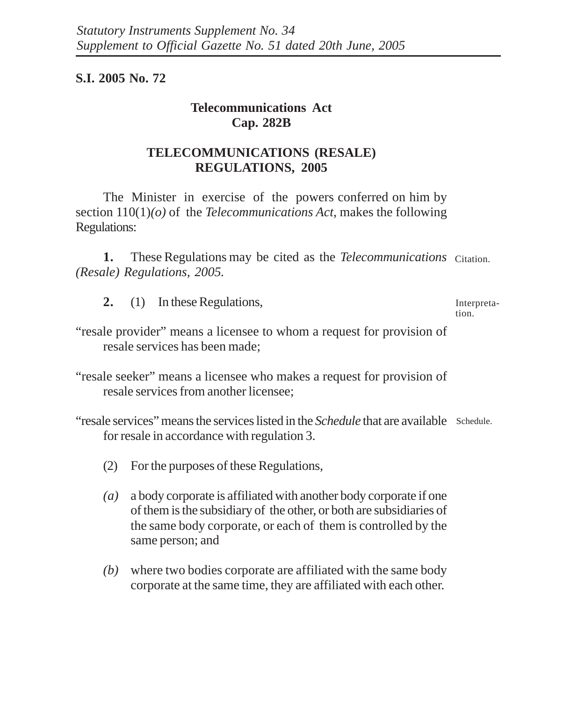### **S.I. 2005 No. 72**

# **Telecommunications Act Cap. 282B**

## **TELECOMMUNICATIONS (RESALE) REGULATIONS, 2005**

The Minister in exercise of the powers conferred on him by section 110(1)*(o)* of the *Telecommunications Act*, makes the following Regulations:

1. These Regulations may be cited as the *Telecommunications* Citation. *(Resale) Regulations, 2005.*

**2.** (1) In these Regulations,

Interpretation.

- "resale provider" means a licensee to whom a request for provision of resale services has been made;
- "resale seeker" means a licensee who makes a request for provision of resale services from another licensee;

"resale services" means the services listed in the *Schedule* that are available Schedule. for resale in accordance with regulation 3.

- (2) For the purposes of these Regulations,
- *(a)* a body corporate is affiliated with another body corporate if one of them is the subsidiary of the other, or both are subsidiaries of the same body corporate, or each of them is controlled by the same person; and
- *(b)* where two bodies corporate are affiliated with the same body corporate at the same time, they are affiliated with each other.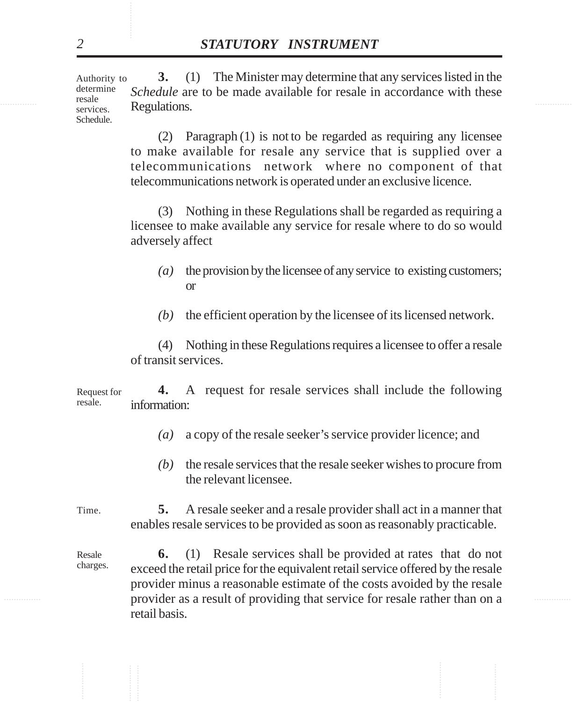resale populations **Descriptions 3.** (1) The Minister may determine that any services listed in the *Schedule* are to be made available for resale in accordance with these Regulations. Authority to determine resale services. Schedule.

> (2) Paragraph (1) is not to be regarded as requiring any licensee to make available for resale any service that is supplied over a telecommunications network where no component of that telecommunications network is operated under an exclusive licence.

> (3) Nothing in these Regulations shall be regarded as requiring a licensee to make available any service for resale where to do so would adversely affect

- *(a)* the provision by the licensee of any service to existing customers; or
- *(b)* the efficient operation by the licensee of its licensed network.

(4) Nothing in these Regulations requires a licensee to offer a resale of transit services.

**4.** A request for resale services shall include the following information: Request for resale.

- *(a)* a copy of the resale seeker's service provider licence; and
- *(b)* the resale services that the resale seeker wishes to procure from the relevant licensee.

**5.** A resale seeker and a resale provider shall act in a manner that enables resale services to be provided as soon as reasonably practicable. Time.

............... ............... provider as a result of providing that service for resale rather than on a **STATUTORY INSTRUMENT**<br> **Schedule are to be made available for resale in accordance with the schedule are to be made available for resale in accordance with the simulations.<br>
Hegulations.<br>
(2) Paragraph (1) is not to be 6.** (1) Resale services shall be provided at rates that do not exceed the retail price for the equivalent retail service offered by the resale provider minus a reasonable estimate of the costs avoided by the resale retail basis. Resale charges.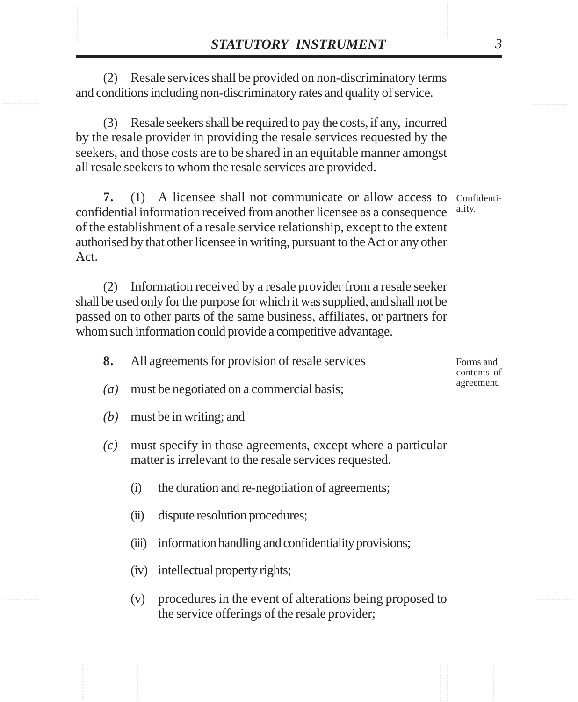XXXTUTORY INSTRUMENT 3<br>
(2) Resale services shall be provided on non-discriminatory terms<br>
and conditions including non-discriminatory rates and quality of service. (2) Resale services shall be provided on non-discriminatory terms and conditions including non-discriminatory rates and quality of service.

> (3) Resale seekers shall be required to pay the costs, if any, incurred by the resale provider in providing the resale services requested by the seekers, and those costs are to be shared in an equitable manner amongst all resale seekers to whom the resale services are provided.

**7.** (1) A licensee shall not communicate or allow access to Confidenticonfidential information received from another licensee as a consequence of the establishment of a resale service relationship, except to the extent authorised by that other licensee in writing, pursuant to the Act or any other Act. ality.

(2) Information received by a resale provider from a resale seeker shall be used only for the purpose for which it was supplied, and shall not be passed on to other parts of the same business, affiliates, or partners for whom such information could provide a competitive advantage.

|  | All agreements for provision of resale services |  |  | Forms and   |
|--|-------------------------------------------------|--|--|-------------|
|  |                                                 |  |  | contents of |
|  |                                                 |  |  | agreement.  |

- *(b)* must be in writing; and
- *(c)* must specify in those agreements, except where a particular matter is irrelevant to the resale services requested.
	- (i) the duration and re-negotiation of agreements;
	- (ii) dispute resolution procedures;

*(a)* must be negotiated on a commercial basis;

- (iii) information handling and confidentiality provisions;
- (iv) intellectual property rights;
- (v) procedures in the event of alterations being proposed to the service offerings of the resale provider;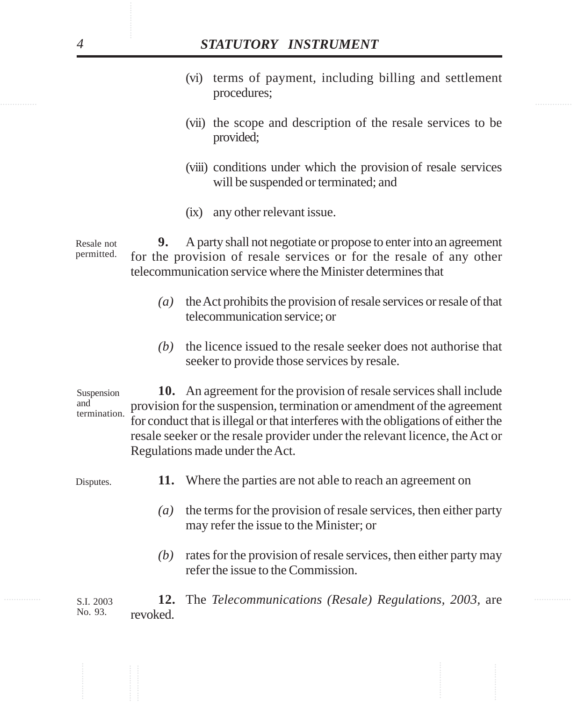- ............... ............... (vi) terms of payment, including billing and settlement procedures;
	- (vii) the scope and description of the resale services to be provided;
	- (viii) conditions under which the provision of resale services will be suspended or terminated; and
	- (ix) any other relevant issue.

**9.** A party shall not negotiate or propose to enter into an agreement for the provision of resale services or for the resale of any other telecommunication service where the Minister determines that Resale not permitted.

- *(a)* the Act prohibits the provision of resale services or resale of that telecommunication service; or
- *(b)* the licence issued to the resale seeker does not authorise that seeker to provide those services by resale.

**STATUTORY INSTRUMENT**<br>
(vi) terms of payment, including billing and settlement procedures;<br>
(vii) escope and description of the reade services to by provided;<br>
(viii) conditions under which the provision of resade servic **10.** An agreement for the provision of resale services shall include provision for the suspension, termination or amendment of the agreement for conduct that is illegal or that interferes with the obligations of either the resale seeker or the resale provider under the relevant licence, the Act or Regulations made under the Act. Suspension and termination.

**11.** Where the parties are not able to reach an agreement on Disputes.

- *(a)* the terms for the provision of resale services, then either party may refer the issue to the Minister; or
- *(b)* rates for the provision of resale services, then either party may refer the issue to the Commission.

............... ............... **12.** The *Telecommunications (Resale) Regulations, 2003,* are revoked. S.I. 2003 No. 93.